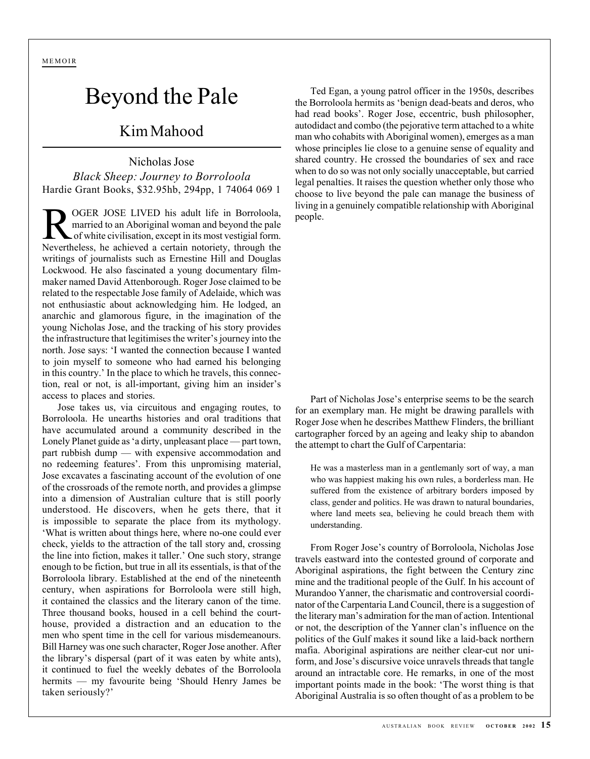MEMOIR

## Beyond the Pale

## Kim Mahood

Nicholas Jose *Black Sheep: Journey to Borroloola* Hardie Grant Books, \$32.95hb, 294pp, 1 74064 069 1

ROGER JOSE LIVED his adult life in Borroloola,<br>married to an Aboriginal woman and beyond the pale<br>of white civilisation, except in its most vestigial form. married to an Aboriginal woman and beyond the pale of white civilisation, except in its most vestigial form. Nevertheless, he achieved a certain notoriety, through the writings of journalists such as Ernestine Hill and Douglas Lockwood. He also fascinated a young documentary filmmaker named David Attenborough. Roger Jose claimed to be related to the respectable Jose family of Adelaide, which was not enthusiastic about acknowledging him. He lodged, an anarchic and glamorous figure, in the imagination of the young Nicholas Jose, and the tracking of his story provides the infrastructure that legitimises the writer's journey into the north. Jose says: 'I wanted the connection because I wanted to join myself to someone who had earned his belonging in this country.' In the place to which he travels, this connection, real or not, is all-important, giving him an insider's access to places and stories.

Jose takes us, via circuitous and engaging routes, to Borroloola. He unearths histories and oral traditions that have accumulated around a community described in the Lonely Planet guide as 'a dirty, unpleasant place — part town, part rubbish dump — with expensive accommodation and no redeeming features'. From this unpromising material, Jose excavates a fascinating account of the evolution of one of the crossroads of the remote north, and provides a glimpse into a dimension of Australian culture that is still poorly understood. He discovers, when he gets there, that it is impossible to separate the place from its mythology. 'What is written about things here, where no-one could ever check, yields to the attraction of the tall story and, crossing the line into fiction, makes it taller.' One such story, strange enough to be fiction, but true in all its essentials, is that of the Borroloola library. Established at the end of the nineteenth century, when aspirations for Borroloola were still high, it contained the classics and the literary canon of the time. Three thousand books, housed in a cell behind the courthouse, provided a distraction and an education to the men who spent time in the cell for various misdemeanours. Bill Harney was one such character, Roger Jose another. After the library's dispersal (part of it was eaten by white ants), it continued to fuel the weekly debates of the Borroloola hermits — my favourite being 'Should Henry James be taken seriously?'

Ted Egan, a young patrol officer in the 1950s, describes the Borroloola hermits as 'benign dead-beats and deros, who had read books'. Roger Jose, eccentric, bush philosopher, autodidact and combo (the pejorative term attached to a white man who cohabits with Aboriginal women), emerges as a man whose principles lie close to a genuine sense of equality and shared country. He crossed the boundaries of sex and race when to do so was not only socially unacceptable, but carried legal penalties. It raises the question whether only those who choose to live beyond the pale can manage the business of living in a genuinely compatible relationship with Aboriginal people.

Part of Nicholas Jose's enterprise seems to be the search for an exemplary man. He might be drawing parallels with Roger Jose when he describes Matthew Flinders, the brilliant cartographer forced by an ageing and leaky ship to abandon the attempt to chart the Gulf of Carpentaria:

He was a masterless man in a gentlemanly sort of way, a man who was happiest making his own rules, a borderless man. He suffered from the existence of arbitrary borders imposed by class, gender and politics. He was drawn to natural boundaries, where land meets sea, believing he could breach them with understanding.

From Roger Jose's country of Borroloola, Nicholas Jose travels eastward into the contested ground of corporate and Aboriginal aspirations, the fight between the Century zinc mine and the traditional people of the Gulf. In his account of Murandoo Yanner, the charismatic and controversial coordinator of the Carpentaria Land Council, there is a suggestion of the literary man's admiration for the man of action. Intentional or not, the description of the Yanner clan's influence on the politics of the Gulf makes it sound like a laid-back northern mafia. Aboriginal aspirations are neither clear-cut nor uniform, and Jose's discursive voice unravels threads that tangle around an intractable core. He remarks, in one of the most important points made in the book: 'The worst thing is that Aboriginal Australia is so often thought of as a problem to be